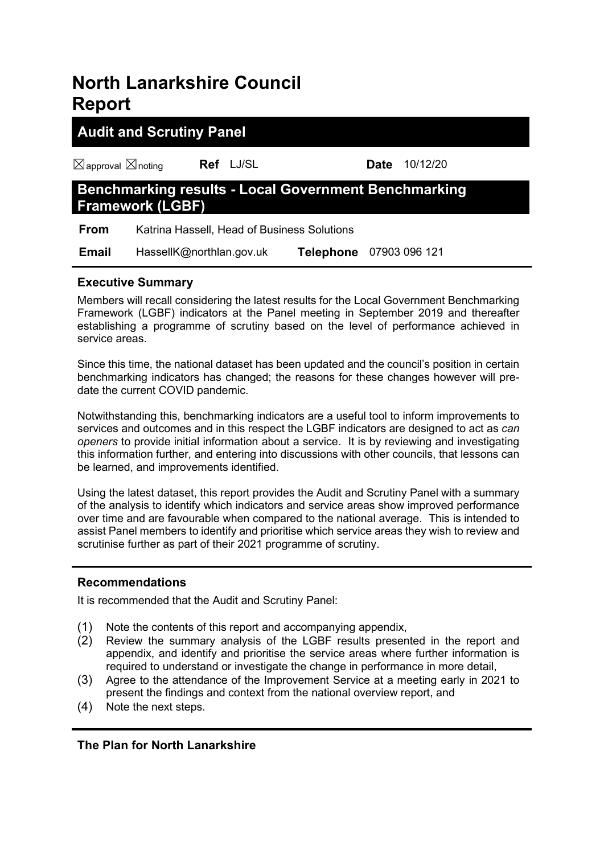# **North Lanarkshire Council Report**

## **Audit and Scrutiny Panel**

☒approval ☒noting **Ref** LJ/SL **Date** 10/12/20

## **Benchmarking results - Local Government Benchmarking Framework (LGBF)**

**From** Katrina Hassell, Head of Business Solutions

 **Email** HassellK@northlan.gov.uk **Telephone** 07903 096 121

### **Executive Summary**

Members will recall considering the latest results for the Local Government Benchmarking Framework (LGBF) indicators at the Panel meeting in September 2019 and thereafter establishing a programme of scrutiny based on the level of performance achieved in service areas.

Since this time, the national dataset has been updated and the council's position in certain benchmarking indicators has changed; the reasons for these changes however will predate the current COVID pandemic.

Notwithstanding this, benchmarking indicators are a useful tool to inform improvements to services and outcomes and in this respect the LGBF indicators are designed to act as *can openers* to provide initial information about a service. It is by reviewing and investigating this information further, and entering into discussions with other councils, that lessons can be learned, and improvements identified.

Using the latest dataset, this report provides the Audit and Scrutiny Panel with a summary of the analysis to identify which indicators and service areas show improved performance over time and are favourable when compared to the national average. This is intended to assist Panel members to identify and prioritise which service areas they wish to review and scrutinise further as part of their 2021 programme of scrutiny.

### **Recommendations**

It is recommended that the Audit and Scrutiny Panel:

- (1) Note the contents of this report and accompanying appendix,
- (2) Review the summary analysis of the LGBF results presented in the report and appendix, and identify and prioritise the service areas where further information is required to understand or investigate the change in performance in more detail,
- (3) Agree to the attendance of the Improvement Service at a meeting early in 2021 to present the findings and context from the national overview report, and
- (4) Note the next steps.

#### **The Plan for North Lanarkshire**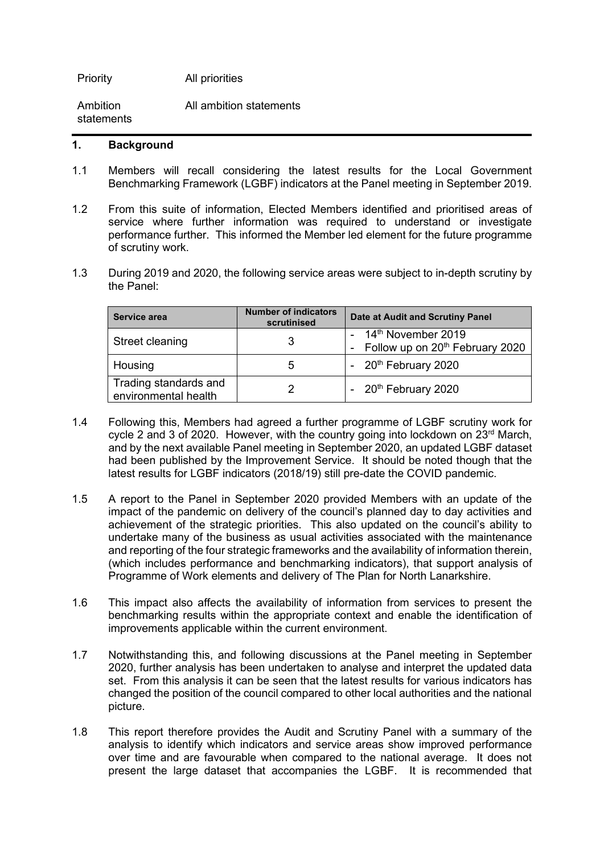Priority All priorities

Ambition statements All ambition statements

#### **1. Background**

- 1.1 Members will recall considering the latest results for the Local Government Benchmarking Framework (LGBF) indicators at the Panel meeting in September 2019.
- 1.2 From this suite of information, Elected Members identified and prioritised areas of service where further information was required to understand or investigate performance further. This informed the Member led element for the future programme of scrutiny work.
- 1.3 During 2019 and 2020, the following service areas were subject to in-depth scrutiny by the Panel:

| Service area                                  | <b>Number of indicators</b><br>scrutinised | Date at Audit and Scrutiny Panel                                        |  |  |  |
|-----------------------------------------------|--------------------------------------------|-------------------------------------------------------------------------|--|--|--|
| Street cleaning                               |                                            | - $14th$ November 2019<br>- Follow up on 20 <sup>th</sup> February 2020 |  |  |  |
| Housing                                       | ხ                                          | - $20th$ February 2020                                                  |  |  |  |
| Trading standards and<br>environmental health |                                            | - $20th$ February 2020                                                  |  |  |  |

- 1.4 Following this, Members had agreed a further programme of LGBF scrutiny work for cycle 2 and 3 of 2020. However, with the country going into lockdown on  $23<sup>rd</sup>$  March, and by the next available Panel meeting in September 2020, an updated LGBF dataset had been published by the Improvement Service. It should be noted though that the latest results for LGBF indicators (2018/19) still pre-date the COVID pandemic.
- 1.5 A report to the Panel in September 2020 provided Members with an update of the impact of the pandemic on delivery of the council's planned day to day activities and achievement of the strategic priorities. This also updated on the council's ability to undertake many of the business as usual activities associated with the maintenance and reporting of the four strategic frameworks and the availability of information therein, (which includes performance and benchmarking indicators), that support analysis of Programme of Work elements and delivery of The Plan for North Lanarkshire.
- 1.6 This impact also affects the availability of information from services to present the benchmarking results within the appropriate context and enable the identification of improvements applicable within the current environment.
- 1.7 Notwithstanding this, and following discussions at the Panel meeting in September 2020, further analysis has been undertaken to analyse and interpret the updated data set. From this analysis it can be seen that the latest results for various indicators has changed the position of the council compared to other local authorities and the national picture.
- 1.8 This report therefore provides the Audit and Scrutiny Panel with a summary of the analysis to identify which indicators and service areas show improved performance over time and are favourable when compared to the national average. It does not present the large dataset that accompanies the LGBF. It is recommended that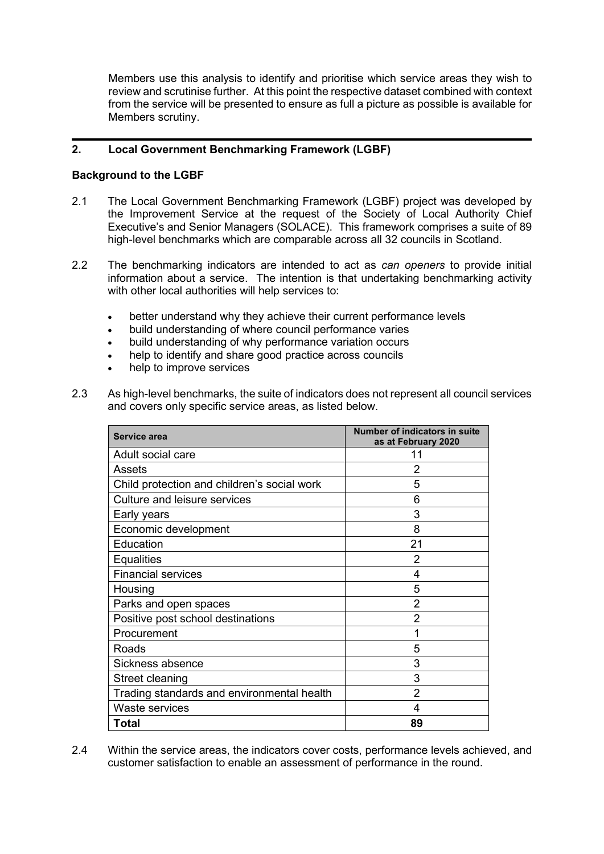Members use this analysis to identify and prioritise which service areas they wish to review and scrutinise further. At this point the respective dataset combined with context from the service will be presented to ensure as full a picture as possible is available for Members scrutiny.

#### **2. Local Government Benchmarking Framework (LGBF)**

#### **Background to the LGBF**

- 2.1 The Local Government Benchmarking Framework (LGBF) project was developed by the Improvement Service at the request of the Society of Local Authority Chief Executive's and Senior Managers (SOLACE). This framework comprises a suite of 89 high-level benchmarks which are comparable across all 32 councils in Scotland.
- 2.2 The benchmarking indicators are intended to act as *can openers* to provide initial information about a service. The intention is that undertaking benchmarking activity with other local authorities will help services to:
	- better understand why they achieve their current performance levels
	- build understanding of where council performance varies
	- build understanding of why performance variation occurs
	- help to identify and share good practice across councils
	- help to improve services
- 2.3 As high-level benchmarks, the suite of indicators does not represent all council services and covers only specific service areas, as listed below.

| Service area                                | Number of indicators in suite<br>as at February 2020 |
|---------------------------------------------|------------------------------------------------------|
| Adult social care                           | 11                                                   |
| Assets                                      | 2                                                    |
| Child protection and children's social work | 5                                                    |
| <b>Culture and leisure services</b>         | 6                                                    |
| Early years                                 | 3                                                    |
| Economic development                        | 8                                                    |
| Education                                   | 21                                                   |
| <b>Equalities</b>                           | 2                                                    |
| <b>Financial services</b>                   | 4                                                    |
| Housing                                     | 5                                                    |
| Parks and open spaces                       | $\overline{2}$                                       |
| Positive post school destinations           | $\overline{2}$                                       |
| Procurement                                 | 1                                                    |
| Roads                                       | 5                                                    |
| Sickness absence                            | 3                                                    |
| Street cleaning                             | 3                                                    |
| Trading standards and environmental health  | $\overline{2}$                                       |
| Waste services                              | 4                                                    |
| Total                                       | 89                                                   |

2.4 Within the service areas, the indicators cover costs, performance levels achieved, and customer satisfaction to enable an assessment of performance in the round.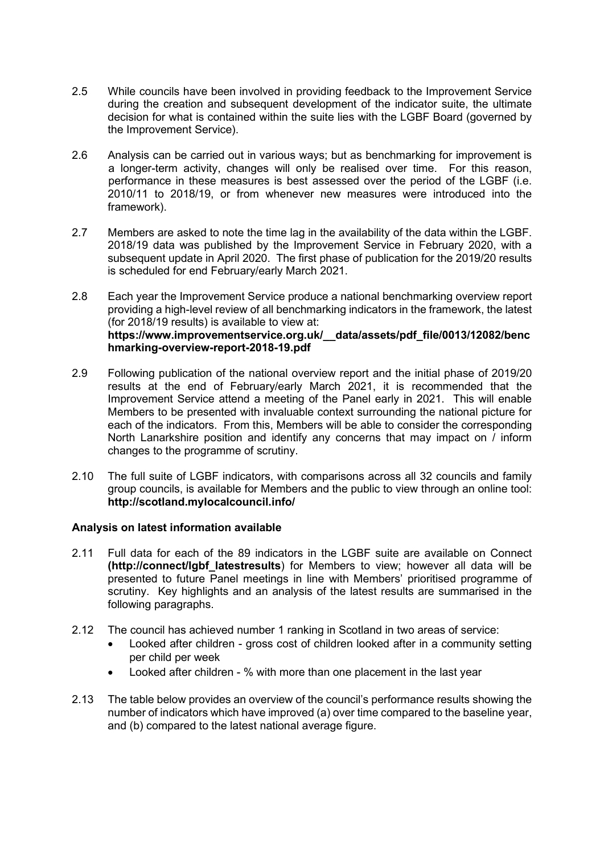- 2.5 While councils have been involved in providing feedback to the Improvement Service during the creation and subsequent development of the indicator suite, the ultimate decision for what is contained within the suite lies with the LGBF Board (governed by the Improvement Service).
- 2.6 Analysis can be carried out in various ways; but as benchmarking for improvement is a longer-term activity, changes will only be realised over time. For this reason, performance in these measures is best assessed over the period of the LGBF (i.e. 2010/11 to 2018/19, or from whenever new measures were introduced into the framework).
- 2.7 Members are asked to note the time lag in the availability of the data within the LGBF. 2018/19 data was published by the Improvement Service in February 2020, with a subsequent update in April 2020. The first phase of publication for the 2019/20 results is scheduled for end February/early March 2021.
- 2.8 Each year the Improvement Service produce a national benchmarking overview report providing a high-level review of all benchmarking indicators in the framework, the latest (for 2018/19 results) is available to view at: **[https://www.improvementservice.org.uk/\\_\\_data/assets/pdf\\_file/0013/12082/benc](https://www.improvementservice.org.uk/__data/assets/pdf_file/0013/12082/benchmarking-overview-report-2018-19.pdf) [hmarking-overview-report-2018-19.pdf](https://www.improvementservice.org.uk/__data/assets/pdf_file/0013/12082/benchmarking-overview-report-2018-19.pdf)**
- 2.9 Following publication of the national overview report and the initial phase of 2019/20 results at the end of February/early March 2021, it is recommended that the Improvement Service attend a meeting of the Panel early in 2021. This will enable Members to be presented with invaluable context surrounding the national picture for each of the indicators. From this, Members will be able to consider the corresponding North Lanarkshire position and identify any concerns that may impact on / inform changes to the programme of scrutiny.
- 2.10 The full suite of LGBF indicators, with comparisons across all 32 councils and family group councils, is available for Members and the public to view through an online tool: **<http://scotland.mylocalcouncil.info/>**

#### **Analysis on latest information available**

- 2.11 Full data for each of the 89 indicators in the LGBF suite are available on Connect **[\(http://connect/lgbf\\_latestresults](http://connect/lgbf_latestresults)**) for Members to view; however all data will be presented to future Panel meetings in line with Members' prioritised programme of scrutiny. Key highlights and an analysis of the latest results are summarised in the following paragraphs.
- 2.12 The council has achieved number 1 ranking in Scotland in two areas of service:
	- Looked after children gross cost of children looked after in a community setting per child per week
	- Looked after children % with more than one placement in the last year
- 2.13 The table below provides an overview of the council's performance results showing the number of indicators which have improved (a) over time compared to the baseline year, and (b) compared to the latest national average figure.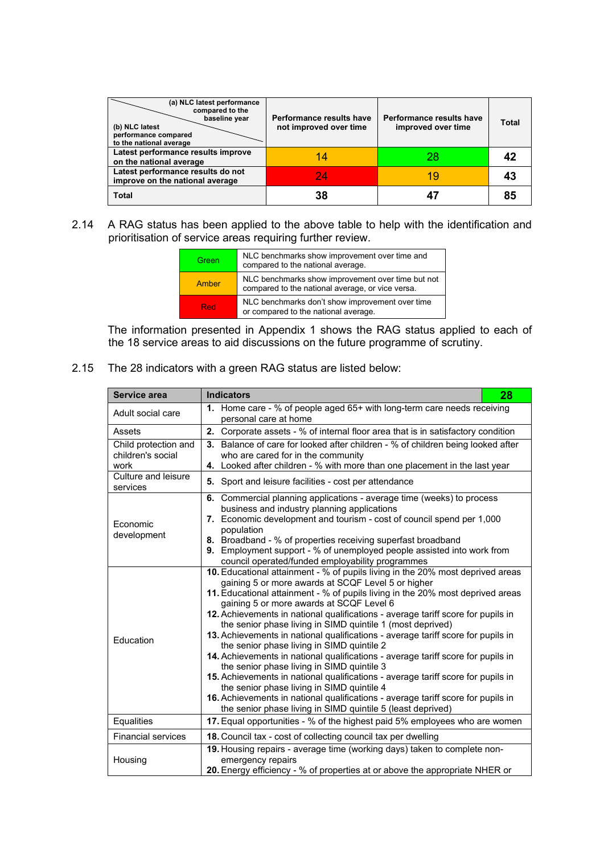| (a) NLC latest performance<br>compared to the<br>baseline year<br>(b) NLC latest<br>performance compared<br>to the national average | Performance results have<br>not improved over time | Performance results have<br>improved over time | <b>Total</b> |
|-------------------------------------------------------------------------------------------------------------------------------------|----------------------------------------------------|------------------------------------------------|--------------|
| Latest performance results improve<br>on the national average                                                                       | 14                                                 | 28                                             |              |
| Latest performance results do not<br>improve on the national average                                                                | 24                                                 |                                                | 43           |
| <b>Total</b>                                                                                                                        | 38                                                 |                                                | 85           |

2.14 A RAG status has been applied to the above table to help with the identification and prioritisation of service areas requiring further review.

| Green | NLC benchmarks show improvement over time and<br>compared to the national average.                    |
|-------|-------------------------------------------------------------------------------------------------------|
| Amber | NLC benchmarks show improvement over time but not<br>compared to the national average, or vice versa. |
| Red   | NLC benchmarks don't show improvement over time<br>or compared to the national average.               |

The information presented in Appendix 1 shows the RAG status applied to each of the 18 service areas to aid discussions on the future programme of scrutiny.

2.15 The 28 indicators with a green RAG status are listed below:

| <b>Service area</b>                               | 28<br><b>Indicators</b>                                                                                                                                                                                                                                                                                                                                                                                                                                                                                                                                                                                                                                                                                                                                                                                                                                                                                                                                                       |
|---------------------------------------------------|-------------------------------------------------------------------------------------------------------------------------------------------------------------------------------------------------------------------------------------------------------------------------------------------------------------------------------------------------------------------------------------------------------------------------------------------------------------------------------------------------------------------------------------------------------------------------------------------------------------------------------------------------------------------------------------------------------------------------------------------------------------------------------------------------------------------------------------------------------------------------------------------------------------------------------------------------------------------------------|
| Adult social care                                 | 1. Home care - % of people aged 65+ with long-term care needs receiving<br>personal care at home                                                                                                                                                                                                                                                                                                                                                                                                                                                                                                                                                                                                                                                                                                                                                                                                                                                                              |
| Assets                                            | 2. Corporate assets - % of internal floor area that is in satisfactory condition                                                                                                                                                                                                                                                                                                                                                                                                                                                                                                                                                                                                                                                                                                                                                                                                                                                                                              |
| Child protection and<br>children's social<br>work | 3. Balance of care for looked after children - % of children being looked after<br>who are cared for in the community<br>4. Looked after children - % with more than one placement in the last year                                                                                                                                                                                                                                                                                                                                                                                                                                                                                                                                                                                                                                                                                                                                                                           |
| Culture and leisure<br>services                   | 5. Sport and leisure facilities - cost per attendance                                                                                                                                                                                                                                                                                                                                                                                                                                                                                                                                                                                                                                                                                                                                                                                                                                                                                                                         |
| Economic<br>development                           | 6. Commercial planning applications - average time (weeks) to process<br>business and industry planning applications<br>7. Economic development and tourism - cost of council spend per 1,000<br>population<br>8. Broadband - % of properties receiving superfast broadband<br>9. Employment support - % of unemployed people assisted into work from<br>council operated/funded employability programmes                                                                                                                                                                                                                                                                                                                                                                                                                                                                                                                                                                     |
| Education                                         | 10. Educational attainment - % of pupils living in the 20% most deprived areas<br>gaining 5 or more awards at SCQF Level 5 or higher<br>11. Educational attainment - % of pupils living in the 20% most deprived areas<br>gaining 5 or more awards at SCQF Level 6<br>12. Achievements in national qualifications - average tariff score for pupils in<br>the senior phase living in SIMD quintile 1 (most deprived)<br>13. Achievements in national qualifications - average tariff score for pupils in<br>the senior phase living in SIMD quintile 2<br>14. Achievements in national qualifications - average tariff score for pupils in<br>the senior phase living in SIMD quintile 3<br>15. Achievements in national qualifications - average tariff score for pupils in<br>the senior phase living in SIMD quintile 4<br>16. Achievements in national qualifications - average tariff score for pupils in<br>the senior phase living in SIMD quintile 5 (least deprived) |
| <b>Equalities</b>                                 | 17. Equal opportunities - % of the highest paid 5% employees who are women                                                                                                                                                                                                                                                                                                                                                                                                                                                                                                                                                                                                                                                                                                                                                                                                                                                                                                    |
| <b>Financial services</b>                         | 18. Council tax - cost of collecting council tax per dwelling                                                                                                                                                                                                                                                                                                                                                                                                                                                                                                                                                                                                                                                                                                                                                                                                                                                                                                                 |
| Housing                                           | 19. Housing repairs - average time (working days) taken to complete non-<br>emergency repairs<br>20. Energy efficiency - % of properties at or above the appropriate NHER or                                                                                                                                                                                                                                                                                                                                                                                                                                                                                                                                                                                                                                                                                                                                                                                                  |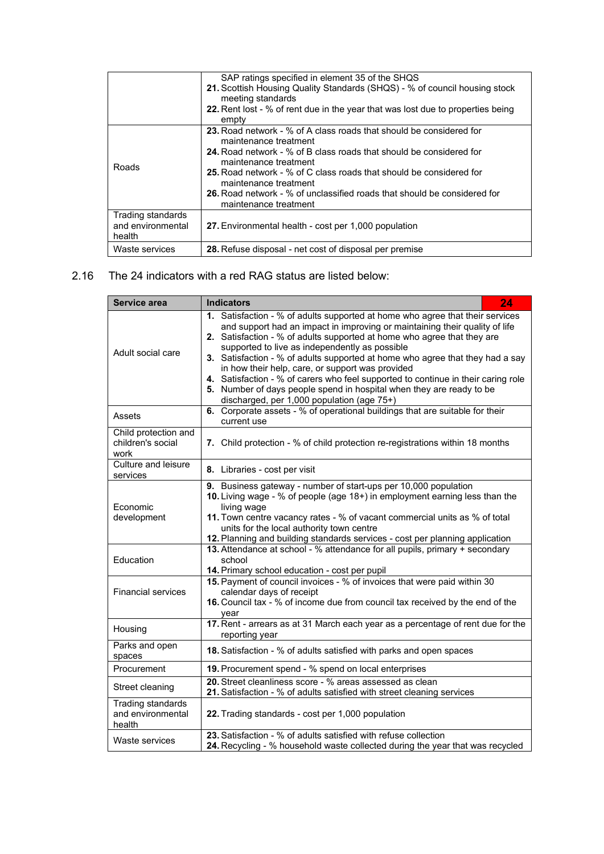|                   | SAP ratings specified in element 35 of the SHQS                                 |
|-------------------|---------------------------------------------------------------------------------|
|                   | 21. Scottish Housing Quality Standards (SHQS) - % of council housing stock      |
|                   | meeting standards                                                               |
|                   | 22. Rent lost - % of rent due in the year that was lost due to properties being |
|                   | empty                                                                           |
|                   | 23. Road network - % of A class roads that should be considered for             |
|                   | maintenance treatment                                                           |
|                   | <b>24.</b> Road network - % of B class roads that should be considered for      |
|                   | maintenance treatment                                                           |
| Roads             | <b>25.</b> Road network - % of C class roads that should be considered for      |
|                   | maintenance treatment                                                           |
|                   | <b>26.</b> Road network - % of unclassified roads that should be considered for |
|                   | maintenance treatment                                                           |
| Trading standards |                                                                                 |
| and environmental | 27. Environmental health - cost per 1,000 population                            |
| health            |                                                                                 |
| Waste services    | 28. Refuse disposal - net cost of disposal per premise                          |

## 2.16 The 24 indicators with a red RAG status are listed below:

| <b>Service area</b>                               | 24<br><b>Indicators</b>                                                                                                                                                                                                                                                                                                                                                                                                                                                                                                                                                                                                                   |
|---------------------------------------------------|-------------------------------------------------------------------------------------------------------------------------------------------------------------------------------------------------------------------------------------------------------------------------------------------------------------------------------------------------------------------------------------------------------------------------------------------------------------------------------------------------------------------------------------------------------------------------------------------------------------------------------------------|
| Adult social care                                 | 1. Satisfaction - % of adults supported at home who agree that their services<br>and support had an impact in improving or maintaining their quality of life<br>2. Satisfaction - % of adults supported at home who agree that they are<br>supported to live as independently as possible<br>3. Satisfaction - % of adults supported at home who agree that they had a say<br>in how their help, care, or support was provided<br>4. Satisfaction - % of carers who feel supported to continue in their caring role<br>5. Number of days people spend in hospital when they are ready to be<br>discharged, per 1,000 population (age 75+) |
| Assets                                            | 6. Corporate assets - % of operational buildings that are suitable for their<br>current use                                                                                                                                                                                                                                                                                                                                                                                                                                                                                                                                               |
| Child protection and<br>children's social<br>work | 7. Child protection - % of child protection re-registrations within 18 months                                                                                                                                                                                                                                                                                                                                                                                                                                                                                                                                                             |
| Culture and leisure<br>services                   | 8. Libraries - cost per visit                                                                                                                                                                                                                                                                                                                                                                                                                                                                                                                                                                                                             |
| Economic<br>development                           | 9. Business gateway - number of start-ups per 10,000 population<br>10. Living wage - % of people (age 18+) in employment earning less than the<br>living wage<br>11. Town centre vacancy rates - % of vacant commercial units as % of total<br>units for the local authority town centre<br>12. Planning and building standards services - cost per planning application                                                                                                                                                                                                                                                                  |
| Education                                         | 13. Attendance at school - % attendance for all pupils, primary + secondary<br>school<br>14. Primary school education - cost per pupil                                                                                                                                                                                                                                                                                                                                                                                                                                                                                                    |
| <b>Financial services</b>                         | 15. Payment of council invoices - % of invoices that were paid within 30<br>calendar days of receipt<br>16. Council tax - % of income due from council tax received by the end of the<br>year                                                                                                                                                                                                                                                                                                                                                                                                                                             |
| Housing                                           | 17. Rent - arrears as at 31 March each year as a percentage of rent due for the<br>reporting year                                                                                                                                                                                                                                                                                                                                                                                                                                                                                                                                         |
| Parks and open<br>spaces                          | 18. Satisfaction - % of adults satisfied with parks and open spaces                                                                                                                                                                                                                                                                                                                                                                                                                                                                                                                                                                       |
| Procurement                                       | 19. Procurement spend - % spend on local enterprises                                                                                                                                                                                                                                                                                                                                                                                                                                                                                                                                                                                      |
| Street cleaning                                   | 20. Street cleanliness score - % areas assessed as clean<br>21. Satisfaction - % of adults satisfied with street cleaning services                                                                                                                                                                                                                                                                                                                                                                                                                                                                                                        |
| Trading standards<br>and environmental<br>health  | 22. Trading standards - cost per 1,000 population                                                                                                                                                                                                                                                                                                                                                                                                                                                                                                                                                                                         |
| Waste services                                    | 23. Satisfaction - % of adults satisfied with refuse collection<br>24. Recycling - % household waste collected during the year that was recycled                                                                                                                                                                                                                                                                                                                                                                                                                                                                                          |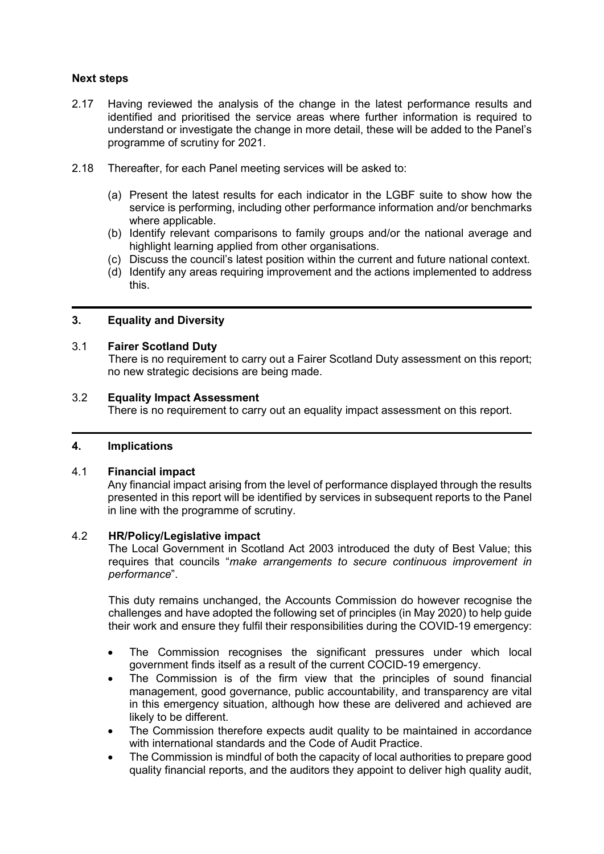#### **Next steps**

- 2.17 Having reviewed the analysis of the change in the latest performance results and identified and prioritised the service areas where further information is required to understand or investigate the change in more detail, these will be added to the Panel's programme of scrutiny for 2021.
- 2.18 Thereafter, for each Panel meeting services will be asked to:
	- (a) Present the latest results for each indicator in the LGBF suite to show how the service is performing, including other performance information and/or benchmarks where applicable.
	- (b) Identify relevant comparisons to family groups and/or the national average and highlight learning applied from other organisations.
	- (c) Discuss the council's latest position within the current and future national context.
	- (d) Identify any areas requiring improvement and the actions implemented to address this.

#### **3. Equality and Diversity**

#### 3.1 **Fairer Scotland Duty**

There is no requirement to carry out a Fairer Scotland Duty assessment on this report; no new strategic decisions are being made.

#### 3.2 **Equality Impact Assessment**

There is no requirement to carry out an equality impact assessment on this report.

#### **4. Implications**

#### 4.1 **Financial impact**

Any financial impact arising from the level of performance displayed through the results presented in this report will be identified by services in subsequent reports to the Panel in line with the programme of scrutiny.

#### 4.2 **HR/Policy/Legislative impact**

The Local Government in Scotland Act 2003 introduced the duty of Best Value; this requires that councils "*make arrangements to secure continuous improvement in performance*".

This duty remains unchanged, the Accounts Commission do however recognise the challenges and have adopted the following set of principles (in May 2020) to help guide their work and ensure they fulfil their responsibilities during the COVID-19 emergency:

- The Commission recognises the significant pressures under which local government finds itself as a result of the current COCID-19 emergency.
- The Commission is of the firm view that the principles of sound financial management, good governance, public accountability, and transparency are vital in this emergency situation, although how these are delivered and achieved are likely to be different.
- The Commission therefore expects audit quality to be maintained in accordance with international standards and the Code of Audit Practice.
- The Commission is mindful of both the capacity of local authorities to prepare good quality financial reports, and the auditors they appoint to deliver high quality audit,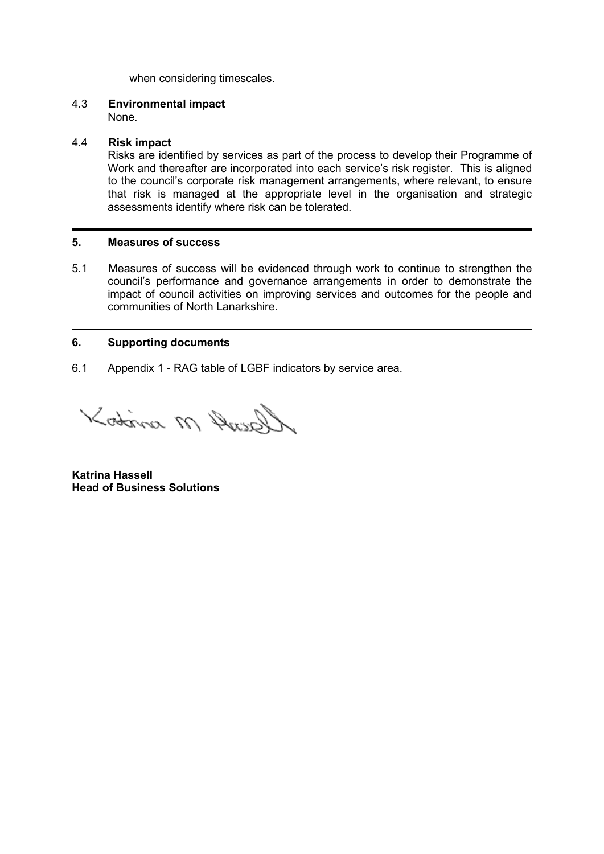when considering timescales.

## 4.3 **Environmental impact**

None.

#### 4.4 **Risk impact**

Risks are identified by services as part of the process to develop their Programme of Work and thereafter are incorporated into each service's risk register. This is aligned to the council's corporate risk management arrangements, where relevant, to ensure that risk is managed at the appropriate level in the organisation and strategic assessments identify where risk can be tolerated.

#### **5. Measures of success**

5.1 Measures of success will be evidenced through work to continue to strengthen the council's performance and governance arrangements in order to demonstrate the impact of council activities on improving services and outcomes for the people and communities of North Lanarkshire.

#### **6. Supporting documents**

6.1 Appendix 1 - RAG table of LGBF indicators by service area.

Kotina M Anish

**Katrina Hassell Head of Business Solutions**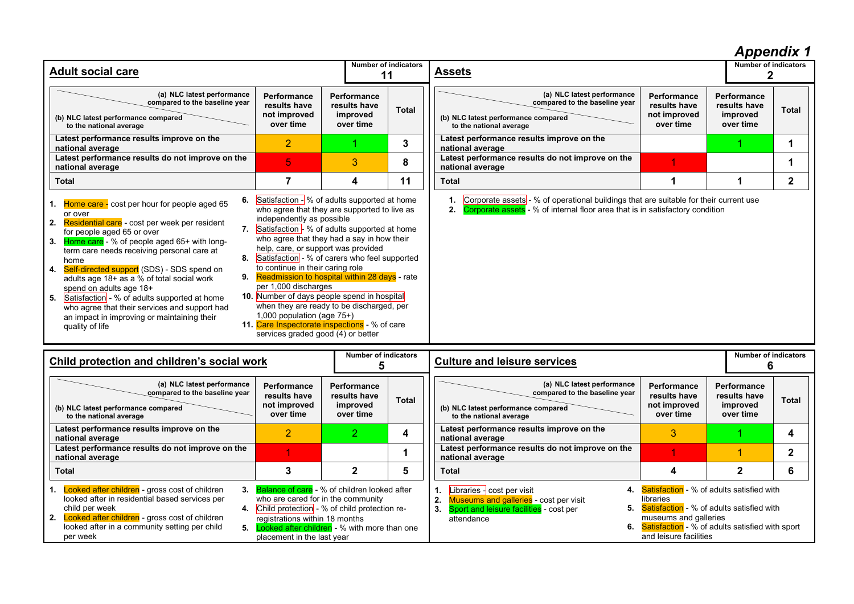## *Appendix 1*

| <b>Adult social care</b>                                                                                                                                                                                                                                                                                                                                                                                                                                                                                                                                                           |                                                                                                                                                                                                                                                                                                                                                                                                                                                                                                                                                                                                                                                                      | <b>Number of indicators</b><br>11                    |              | <b>Assets</b>                                                                                                                                                                       |                                                          | Appendia i<br><b>Number of indicators</b>            |              |
|------------------------------------------------------------------------------------------------------------------------------------------------------------------------------------------------------------------------------------------------------------------------------------------------------------------------------------------------------------------------------------------------------------------------------------------------------------------------------------------------------------------------------------------------------------------------------------|----------------------------------------------------------------------------------------------------------------------------------------------------------------------------------------------------------------------------------------------------------------------------------------------------------------------------------------------------------------------------------------------------------------------------------------------------------------------------------------------------------------------------------------------------------------------------------------------------------------------------------------------------------------------|------------------------------------------------------|--------------|-------------------------------------------------------------------------------------------------------------------------------------------------------------------------------------|----------------------------------------------------------|------------------------------------------------------|--------------|
| (a) NLC latest performance<br>compared to the baseline year<br>(b) NLC latest performance compared<br>to the national average                                                                                                                                                                                                                                                                                                                                                                                                                                                      | Performance<br>results have<br>not improved<br>over time                                                                                                                                                                                                                                                                                                                                                                                                                                                                                                                                                                                                             | Performance<br>results have<br>improved<br>over time | <b>Total</b> | (a) NLC latest performance<br>compared to the baseline year<br>(b) NLC latest performance compared<br>to the national average                                                       | Performance<br>results have<br>not improved<br>over time | Performance<br>results have<br>improved<br>over time | <b>Total</b> |
| Latest performance results improve on the<br>national average                                                                                                                                                                                                                                                                                                                                                                                                                                                                                                                      | $\overline{2}$                                                                                                                                                                                                                                                                                                                                                                                                                                                                                                                                                                                                                                                       |                                                      | $\mathbf{3}$ | Latest performance results improve on the<br>national average                                                                                                                       |                                                          |                                                      | 1            |
| Latest performance results do not improve on the<br>national average                                                                                                                                                                                                                                                                                                                                                                                                                                                                                                               | $\overline{5}$                                                                                                                                                                                                                                                                                                                                                                                                                                                                                                                                                                                                                                                       | 3                                                    | 8            | Latest performance results do not improve on the<br>national average                                                                                                                |                                                          |                                                      |              |
| <b>Total</b>                                                                                                                                                                                                                                                                                                                                                                                                                                                                                                                                                                       |                                                                                                                                                                                                                                                                                                                                                                                                                                                                                                                                                                                                                                                                      | 4                                                    | 11           | <b>Total</b>                                                                                                                                                                        |                                                          |                                                      | $\mathbf{2}$ |
| 6.<br>1. Home care - cost per hour for people aged 65<br>or over<br>2. Residential care - cost per week per resident<br>7.<br>for people aged 65 or over<br>Home care - % of people aged 65+ with long-<br>3.<br>term care needs receiving personal care at<br>8.<br>home<br>4. Self-directed support (SDS) - SDS spend on<br>9.<br>adults age 18+ as a % of total social work<br>spend on adults age 18+<br>Satisfaction - % of adults supported at home<br>5.<br>who agree that their services and support had<br>an impact in improving or maintaining their<br>quality of life | Satisfaction $-\frac{1}{2}$ of adults supported at home<br>who agree that they are supported to live as<br>independently as possible<br>Satisfaction $\frac{1}{2}$ % of adults supported at home<br>who agree that they had a say in how their<br>help, care, or support was provided<br>Satisfaction - % of carers who feel supported<br>to continue in their caring role<br>Readmission to hospital within 28 days - rate<br>per 1,000 discharges<br>10. Number of days people spend in hospital<br>when they are ready to be discharged, per<br>1,000 population (age 75+)<br>11. Care Inspectorate inspections - % of care<br>services graded good (4) or better |                                                      |              | Corporate assets - % of operational buildings that are suitable for their current use<br>2.<br><b>Corporate assets</b> - % of internal floor area that is in satisfactory condition |                                                          |                                                      |              |

| Child protection and children's social work |                                                                                                                                                                                                                                                           |                                                                                                                                                                                                           | <b>Number of indicators</b>                                 |              | <b>Culture and leisure services</b>                                                                                                                   |                                                                                                                                                                                                                     | <b>Number of indicators</b>                          |              |
|---------------------------------------------|-----------------------------------------------------------------------------------------------------------------------------------------------------------------------------------------------------------------------------------------------------------|-----------------------------------------------------------------------------------------------------------------------------------------------------------------------------------------------------------|-------------------------------------------------------------|--------------|-------------------------------------------------------------------------------------------------------------------------------------------------------|---------------------------------------------------------------------------------------------------------------------------------------------------------------------------------------------------------------------|------------------------------------------------------|--------------|
|                                             | (a) NLC latest performance<br>compared to the baseline year<br>(b) NLC latest performance compared<br>to the national average                                                                                                                             | Performance<br>results have<br>not improved<br>over time                                                                                                                                                  | <b>Performance</b><br>results have<br>improved<br>over time | <b>Total</b> | (a) NLC latest performance<br>compared to the baseline year<br>(b) NLC latest performance compared<br>to the national average                         | Performance<br>results have<br>not improved<br>over time                                                                                                                                                            | Performance<br>results have<br>improved<br>over time | <b>Total</b> |
|                                             | Latest performance results improve on the<br>national average                                                                                                                                                                                             |                                                                                                                                                                                                           |                                                             |              | Latest performance results improve on the<br>national average                                                                                         |                                                                                                                                                                                                                     |                                                      |              |
|                                             | Latest performance results do not improve on the<br>national average                                                                                                                                                                                      |                                                                                                                                                                                                           |                                                             |              | Latest performance results do not improve on the<br>national average                                                                                  |                                                                                                                                                                                                                     |                                                      | ◠            |
| Total                                       |                                                                                                                                                                                                                                                           |                                                                                                                                                                                                           |                                                             |              | Total                                                                                                                                                 |                                                                                                                                                                                                                     |                                                      |              |
|                                             | 1. Looked after children - gross cost of children<br>3.<br>looked after in residential based services per<br>child per week<br>4.<br>2. Looked after children - gross cost of children<br>looked after in a community setting per child<br>5.<br>per week | <b>Balance of care</b> - % of children looked after<br>who are cared for in the community<br>Child protection - % of child protection re-<br>registrations within 18 months<br>placement in the last year | ooked after children - % with more than one_                |              | Libraries - cost per visit<br>Museums and galleries - cost per visit<br>2.<br>5.<br>Sport and leisure facilities - cost per<br>3.<br>attendance<br>6. | 4. Satisfaction - % of adults satisfied with<br>libraries<br>Satisfaction - % of adults satisfied with<br>museums and galleries<br><b>Satisfaction</b> - % of adults satisfied with sport<br>and leisure facilities |                                                      |              |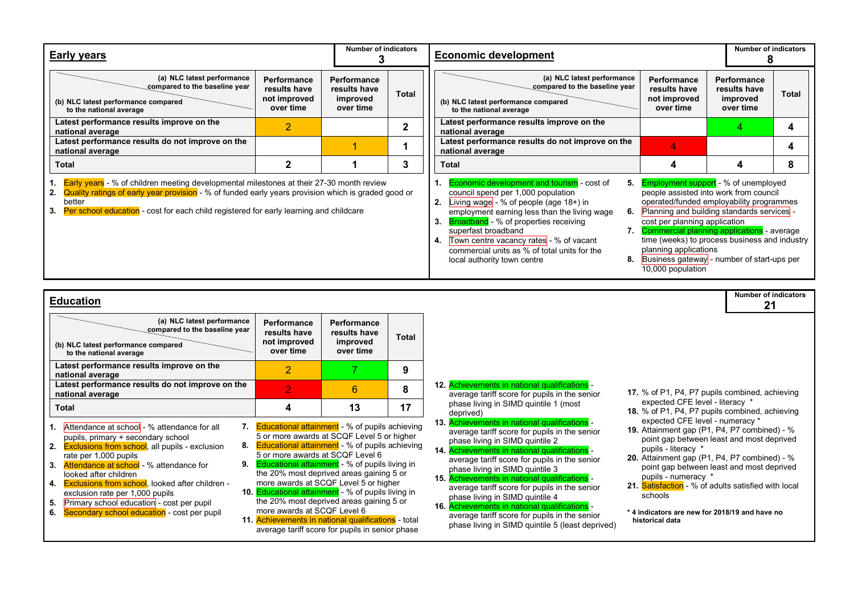| <b>Early years</b>                                                                                                                                                                                                                                                                                                                                                                                                                                                                    |                                                                                                                                                                                                                                                                                                                                                                                                                                                                                                                                                                                 | <b>Number of indicators</b><br>3                     |                | <b>Economic development</b>                                                                                                                                                                                                                                                                                                                                                                                                                                                                                                                                                                                             |                                                                                                                                                                                                                                                                                                                                                                                                                 | <b>Number of indicators</b><br>8                                                                                                    |                         |
|---------------------------------------------------------------------------------------------------------------------------------------------------------------------------------------------------------------------------------------------------------------------------------------------------------------------------------------------------------------------------------------------------------------------------------------------------------------------------------------|---------------------------------------------------------------------------------------------------------------------------------------------------------------------------------------------------------------------------------------------------------------------------------------------------------------------------------------------------------------------------------------------------------------------------------------------------------------------------------------------------------------------------------------------------------------------------------|------------------------------------------------------|----------------|-------------------------------------------------------------------------------------------------------------------------------------------------------------------------------------------------------------------------------------------------------------------------------------------------------------------------------------------------------------------------------------------------------------------------------------------------------------------------------------------------------------------------------------------------------------------------------------------------------------------------|-----------------------------------------------------------------------------------------------------------------------------------------------------------------------------------------------------------------------------------------------------------------------------------------------------------------------------------------------------------------------------------------------------------------|-------------------------------------------------------------------------------------------------------------------------------------|-------------------------|
| (a) NLC latest performance<br>compared to the baseline year<br>(b) NLC latest performance compared<br>to the national average                                                                                                                                                                                                                                                                                                                                                         | Performance<br>results have<br>not improved<br>over time                                                                                                                                                                                                                                                                                                                                                                                                                                                                                                                        | Performance<br>results have<br>improved<br>over time | <b>Total</b>   | (a) NLC latest performance<br>compared to the baseline year<br>(b) NLC latest performance compared<br>to the national average                                                                                                                                                                                                                                                                                                                                                                                                                                                                                           | Performance<br>results have<br>not improved<br>over time                                                                                                                                                                                                                                                                                                                                                        | Performance<br>results have<br>improved<br>over time                                                                                | <b>Total</b>            |
| Latest performance results improve on the<br>national average                                                                                                                                                                                                                                                                                                                                                                                                                         | $\overline{2}$                                                                                                                                                                                                                                                                                                                                                                                                                                                                                                                                                                  |                                                      | $\overline{2}$ | Latest performance results improve on the<br>national average                                                                                                                                                                                                                                                                                                                                                                                                                                                                                                                                                           |                                                                                                                                                                                                                                                                                                                                                                                                                 | 4                                                                                                                                   | $\overline{\mathbf{4}}$ |
| Latest performance results do not improve on the<br>national average                                                                                                                                                                                                                                                                                                                                                                                                                  |                                                                                                                                                                                                                                                                                                                                                                                                                                                                                                                                                                                 | $\overline{1}$                                       | $\mathbf{1}$   | Latest performance results do not improve on the<br>national average                                                                                                                                                                                                                                                                                                                                                                                                                                                                                                                                                    | $\overline{4}$                                                                                                                                                                                                                                                                                                                                                                                                  |                                                                                                                                     | 4                       |
| <b>Total</b>                                                                                                                                                                                                                                                                                                                                                                                                                                                                          | $\overline{\mathbf{2}}$                                                                                                                                                                                                                                                                                                                                                                                                                                                                                                                                                         | 1                                                    | $\mathbf{3}$   | <b>Total</b>                                                                                                                                                                                                                                                                                                                                                                                                                                                                                                                                                                                                            | $\blacktriangle$                                                                                                                                                                                                                                                                                                                                                                                                | 4                                                                                                                                   | 8                       |
| 1. <b>Early years</b> - % of children meeting developmental milestones at their 27-30 month review<br>Quality ratings of early year provision - % of funded early years provision which is graded good or<br>2.<br>better<br>3. Per school education - cost for each child registered for early learning and childcare                                                                                                                                                                |                                                                                                                                                                                                                                                                                                                                                                                                                                                                                                                                                                                 |                                                      |                | 1. Economic development and tourism - cost of<br>council spend per 1,000 population<br>2. Living wage - % of people (age $18+$ ) in<br>employment earning less than the living wage<br><b>Broadband</b> - % of properties receiving<br>3.<br>superfast broadband<br>Town centre vacancy rates - % of vacant<br>4.<br>commercial units as % of total units for the<br>local authority town centre                                                                                                                                                                                                                        | 5. Employment support - % of unemployed<br>6. Planning and building standards services -<br>cost per planning application<br>7. Commercial planning applications - average<br>planning applications<br>8. Business gateway - number of start-ups per<br>10,000 population                                                                                                                                       | people assisted into work from council<br>operated/funded employability programmes<br>time (weeks) to process business and industry |                         |
| <b>Education</b>                                                                                                                                                                                                                                                                                                                                                                                                                                                                      |                                                                                                                                                                                                                                                                                                                                                                                                                                                                                                                                                                                 |                                                      |                |                                                                                                                                                                                                                                                                                                                                                                                                                                                                                                                                                                                                                         |                                                                                                                                                                                                                                                                                                                                                                                                                 | Number of indicators<br>21                                                                                                          |                         |
| (a) NLC latest performance<br>compared to the baseline year<br>(b) NLC latest performance compared<br>to the national average                                                                                                                                                                                                                                                                                                                                                         | Performance<br>results have<br>not improved<br>over time                                                                                                                                                                                                                                                                                                                                                                                                                                                                                                                        | Performance<br>results have<br>improved<br>over time | <b>Total</b>   |                                                                                                                                                                                                                                                                                                                                                                                                                                                                                                                                                                                                                         |                                                                                                                                                                                                                                                                                                                                                                                                                 |                                                                                                                                     |                         |
| Latest performance results improve on the<br>national average                                                                                                                                                                                                                                                                                                                                                                                                                         | $\overline{2}$                                                                                                                                                                                                                                                                                                                                                                                                                                                                                                                                                                  |                                                      | 9              |                                                                                                                                                                                                                                                                                                                                                                                                                                                                                                                                                                                                                         |                                                                                                                                                                                                                                                                                                                                                                                                                 |                                                                                                                                     |                         |
| Latest performance results do not improve on the<br>national average                                                                                                                                                                                                                                                                                                                                                                                                                  | $\overline{2}$                                                                                                                                                                                                                                                                                                                                                                                                                                                                                                                                                                  | 6                                                    | 8              | 12. Achievements in national qualifications -<br>average tariff score for pupils in the senior                                                                                                                                                                                                                                                                                                                                                                                                                                                                                                                          | 17. % of P1, P4, P7 pupils combined, achieving                                                                                                                                                                                                                                                                                                                                                                  |                                                                                                                                     |                         |
| <b>Total</b><br><b>1.</b> Attendance at school - % attendance for all<br>pupils, primary + secondary school<br>8.<br>Exclusions from school, all pupils - exclusion<br>2.<br>rate per 1,000 pupils<br>Attendance at school - % attendance for<br>3.<br>looked after children<br><b>Exclusions from school</b> , looked after children -<br>4.<br>exclusion rate per 1,000 pupils<br>Primary school education - cost per pupil<br>5.<br>6. Secondary school education - cost per pupil | 4<br>7. Educational attainment - % of pupils achieving<br>5 or more awards at SCQF Level 5 or higher<br>Educational attainment - % of pupils achieving<br>5 or more awards at SCQF Level 6<br>9. Educational attainment - % of pupils living in<br>the 20% most deprived areas gaining 5 or<br>more awards at SCQF Level 5 or higher<br>10. Educational attainment - % of pupils living in<br>the 20% most deprived areas gaining 5 or<br>more awards at SCQF Level 6<br>11. Achievements in national qualifications - total<br>average tariff score for pupils in senior phase | 13                                                   | 17             | phase living in SIMD quintile 1 (most<br>deprived)<br>13. Achievements in national qualifications -<br>average tariff score for pupils in the senior<br>phase living in SIMD quintile 2<br>14. Achievements in national qualifications -<br>average tariff score for pupils in the senior<br>phase living in SIMD quintile 3<br>15. Achievements in national qualifications -<br>average tariff score for pupils in the senior<br>phase living in SIMD quintile 4<br>16. Achievements in national qualifications -<br>average tariff score for pupils in the senior<br>phase living in SIMD quintile 5 (least deprived) | expected CFE level - literacy *<br>18. % of P1, P4, P7 pupils combined, achieving<br>expected CFE level - numeracy *<br><b>19.</b> Attainment gap (P1, P4, P7 combined) - %<br>pupils - literacy *<br>20. Attainment gap (P1, P4, P7 combined) - %<br>pupils - numeracy *<br>21. Satisfaction - % of adults satisfied with local<br>schools<br>*4 indicators are new for 2018/19 and have no<br>historical data | point gap between least and most deprived<br>point gap between least and most deprived                                              |                         |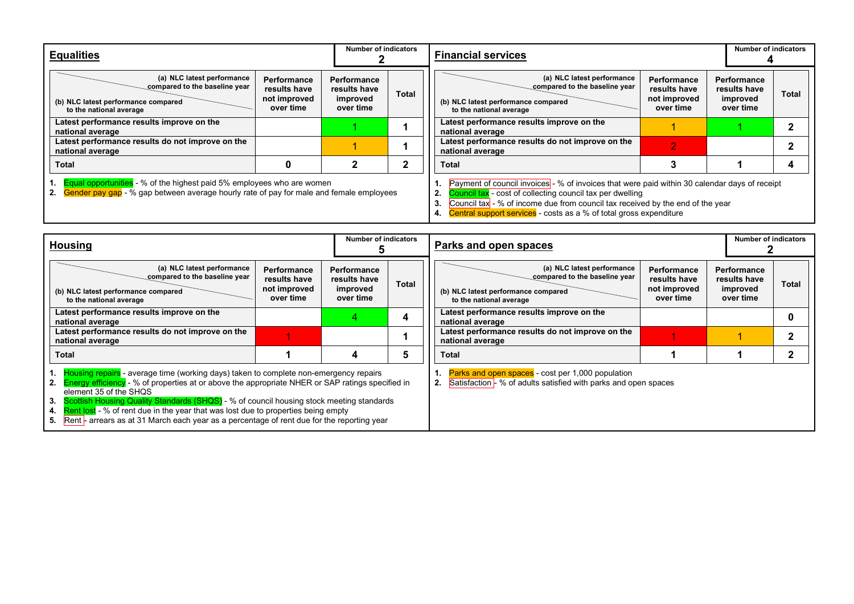| <b>Equalities</b>                                                                                                                                                           | <b>Number of indicators</b>                              |                                                      | <b>Financial services</b> |                                                                                                                                                                         |                                                          | <b>Number of indicators</b>                          |              |
|-----------------------------------------------------------------------------------------------------------------------------------------------------------------------------|----------------------------------------------------------|------------------------------------------------------|---------------------------|-------------------------------------------------------------------------------------------------------------------------------------------------------------------------|----------------------------------------------------------|------------------------------------------------------|--------------|
| (a) NLC latest performance<br>compared to the baseline year<br>(b) NLC latest performance compared<br>to the national average                                               | Performance<br>results have<br>not improved<br>over time | Performance<br>results have<br>improved<br>over time | Total                     | (a) NLC latest performance<br>compared to the baseline year<br>(b) NLC latest performance compared<br>to the national average                                           | Performance<br>results have<br>not improved<br>over time | Performance<br>results have<br>improved<br>over time | <b>Total</b> |
| Latest performance results improve on the<br>national average                                                                                                               |                                                          |                                                      |                           | Latest performance results improve on the<br>national average                                                                                                           |                                                          |                                                      |              |
| Latest performance results do not improve on the<br>national average                                                                                                        |                                                          |                                                      |                           | Latest performance results do not improve on the<br>national average                                                                                                    |                                                          |                                                      |              |
| Total                                                                                                                                                                       |                                                          |                                                      |                           | Total                                                                                                                                                                   |                                                          |                                                      |              |
| <b>Equal opportunities</b> - % of the highest paid 5% employees who are women<br>2. Gender pay gap - % gap between average hourly rate of pay for male and female employees |                                                          |                                                      |                           | Payment of council invoices - % of invoices that were paid within 30 calendar days of receipt<br><b>Council tax</b> - cost of collecting council tax per dwelling<br>2. |                                                          |                                                      |              |

**3.** <mark>Council tax</mark> - % of income due from council tax received by the end of the year

**4. <u>Central support services</u> -** costs as a % of total gross expenditure

| <b>Housing</b>                                                                                                                                                                                                                                                                                                                                                                                                                                                                                                              |                                                          | <b>Number of indicators</b>                          |                                                                                                                               | Parks and open spaces                                                                                                         |                                                          | <b>Number of indicators</b>                          |              |
|-----------------------------------------------------------------------------------------------------------------------------------------------------------------------------------------------------------------------------------------------------------------------------------------------------------------------------------------------------------------------------------------------------------------------------------------------------------------------------------------------------------------------------|----------------------------------------------------------|------------------------------------------------------|-------------------------------------------------------------------------------------------------------------------------------|-------------------------------------------------------------------------------------------------------------------------------|----------------------------------------------------------|------------------------------------------------------|--------------|
| (a) NLC latest performance<br>compared to the baseline year<br>(b) NLC latest performance compared<br>to the national average                                                                                                                                                                                                                                                                                                                                                                                               | Performance<br>results have<br>not improved<br>over time | Performance<br>results have<br>improved<br>over time | <b>Total</b>                                                                                                                  | (a) NLC latest performance<br>compared to the baseline year<br>(b) NLC latest performance compared<br>to the national average | Performance<br>results have<br>not improved<br>over time | Performance<br>results have<br>improved<br>over time | <b>Total</b> |
| Latest performance results improve on the<br>national average                                                                                                                                                                                                                                                                                                                                                                                                                                                               |                                                          |                                                      |                                                                                                                               | Latest performance results improve on the<br>national average                                                                 |                                                          |                                                      |              |
| Latest performance results do not improve on the<br>national average                                                                                                                                                                                                                                                                                                                                                                                                                                                        |                                                          |                                                      |                                                                                                                               | Latest performance results do not improve on the<br>national average                                                          |                                                          |                                                      |              |
| Total                                                                                                                                                                                                                                                                                                                                                                                                                                                                                                                       |                                                          | 4                                                    | 5                                                                                                                             | Total                                                                                                                         |                                                          |                                                      |              |
| Housing repairs - average time (working days) taken to complete non-emergency repairs<br><b>Energy efficiency</b> - % of properties at or above the appropriate NHER or SAP ratings specified in<br>element 35 of the SHQS<br>Scottish Housing Quality Standards (SHQS) - % of council housing stock meeting standards<br>3.<br>Rent lost - % of rent due in the year that was lost due to properties being empty<br>4.<br>Rent - arrears as at 31 March each year as a percentage of rent due for the reporting year<br>5. |                                                          |                                                      | 1. Parks and open spaces - cost per 1,000 population<br>Satisfaction - % of adults satisfied with parks and open spaces<br>2. |                                                                                                                               |                                                          |                                                      |              |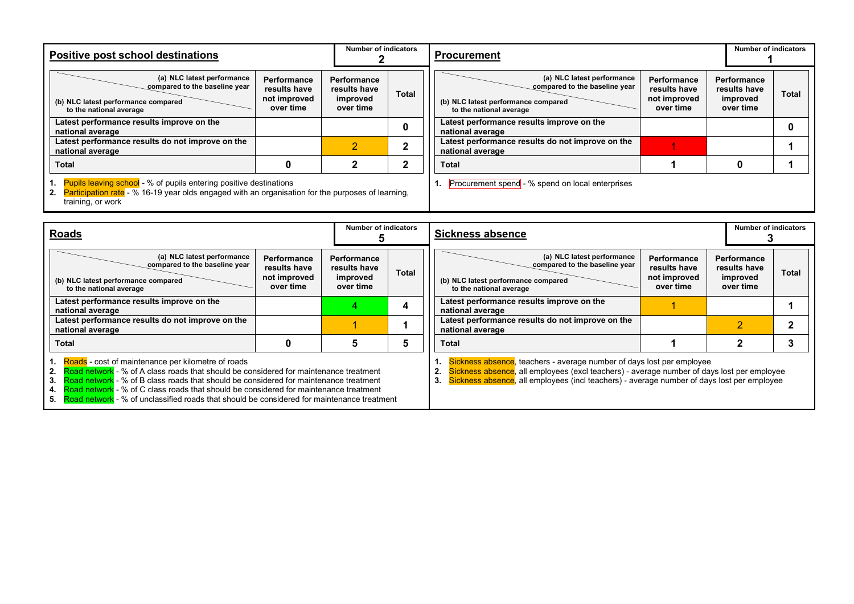| Positive post school destinations                                                                                                                                                                  |                                                          | <b>Number of indicators</b>                          |                         | <b>Procurement</b>                                                                                                            |                                                          |                                                      | <b>Number of indicators</b> |  |
|----------------------------------------------------------------------------------------------------------------------------------------------------------------------------------------------------|----------------------------------------------------------|------------------------------------------------------|-------------------------|-------------------------------------------------------------------------------------------------------------------------------|----------------------------------------------------------|------------------------------------------------------|-----------------------------|--|
| (a) NLC latest performance<br>compared to the baseline year<br>(b) NLC latest performance compared<br>to the national average                                                                      | Performance<br>results have<br>not improved<br>over time | Performance<br>results have<br>improved<br>over time | <b>Total</b>            | (a) NLC latest performance<br>compared to the baseline year<br>(b) NLC latest performance compared<br>to the national average | Performance<br>results have<br>not improved<br>over time | Performance<br>results have<br>improved<br>over time | <b>Total</b>                |  |
| Latest performance results improve on the<br>national average                                                                                                                                      |                                                          |                                                      |                         | Latest performance results improve on the<br>national average                                                                 |                                                          |                                                      |                             |  |
| Latest performance results do not improve on the<br>national average                                                                                                                               |                                                          | 2                                                    |                         | Latest performance results do not improve on the<br>national average                                                          |                                                          |                                                      |                             |  |
| Total                                                                                                                                                                                              |                                                          |                                                      | 2                       | Total                                                                                                                         |                                                          |                                                      |                             |  |
| 1. Pupils leaving school - % of pupils entering positive destinations<br>2. Participation rate - % 16-19 year olds engaged with an organisation for the purposes of learning,<br>training, or work |                                                          | Procurement spend - % spend on local enterprises     |                         |                                                                                                                               |                                                          |                                                      |                             |  |
| <b>Number of indicators</b><br>Roads                                                                                                                                                               |                                                          |                                                      | <b>Sickness absence</b> |                                                                                                                               |                                                          | <b>Number of indicators</b>                          |                             |  |

| nuaus                                                                                                                                                                                                                                                                                                                                                                                                                                                       |                                                          |                                                             |              | <b>OILNIIESS ADSEIILE</b>                                                                                                                                                                                                                                               |                                                          |                                                      |              |
|-------------------------------------------------------------------------------------------------------------------------------------------------------------------------------------------------------------------------------------------------------------------------------------------------------------------------------------------------------------------------------------------------------------------------------------------------------------|----------------------------------------------------------|-------------------------------------------------------------|--------------|-------------------------------------------------------------------------------------------------------------------------------------------------------------------------------------------------------------------------------------------------------------------------|----------------------------------------------------------|------------------------------------------------------|--------------|
| (a) NLC latest performance<br>compared to the baseline year<br>(b) NLC latest performance compared<br>to the national average                                                                                                                                                                                                                                                                                                                               | Performance<br>results have<br>not improved<br>over time | <b>Performance</b><br>results have<br>improved<br>over time | <b>Total</b> | (a) NLC latest performance<br>compared to the baseline year<br>(b) NLC latest performance compared<br>to the national average                                                                                                                                           | Performance<br>results have<br>not improved<br>over time | Performance<br>results have<br>improved<br>over time | <b>Total</b> |
| Latest performance results improve on the<br>national average                                                                                                                                                                                                                                                                                                                                                                                               |                                                          |                                                             |              | Latest performance results improve on the<br>national average                                                                                                                                                                                                           |                                                          |                                                      |              |
| Latest performance results do not improve on the<br>national average                                                                                                                                                                                                                                                                                                                                                                                        |                                                          |                                                             |              | Latest performance results do not improve on the<br>national average                                                                                                                                                                                                    |                                                          |                                                      | າ            |
| Total                                                                                                                                                                                                                                                                                                                                                                                                                                                       |                                                          |                                                             |              | Total                                                                                                                                                                                                                                                                   |                                                          |                                                      | 3            |
| 1. Roads - cost of maintenance per kilometre of roads<br>Road network - % of A class roads that should be considered for maintenance treatment<br><b>Road network -</b> % of B class roads that should be considered for maintenance treatment<br>3.<br>4. Road network - % of C class roads that should be considered for maintenance treatment<br><b>Road network</b> - % of unclassified roads that should be considered for maintenance treatment<br>5. |                                                          |                                                             |              | Sickness absence, teachers - average number of days lost per employee<br>Sickness absence, all employees (excl teachers) - average number of days lost per employee<br>Sickness absence, all employees (incl teachers) - average number of days lost per employee<br>3. |                                                          |                                                      |              |